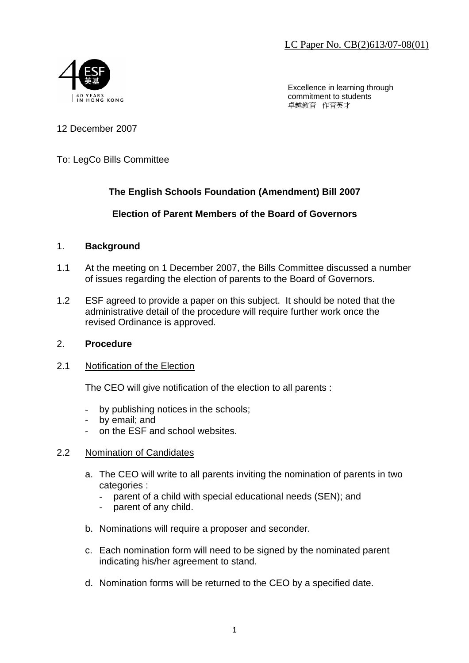LC Paper No. CB(2)613/07-08(01)



Excellence in learning through commitment to students 卓越教育 作育英才

## 12 December 2007

## To: LegCo Bills Committee

# **The English Schools Foundation (Amendment) Bill 2007**

## **Election of Parent Members of the Board of Governors**

#### 1. **Background**

- 1.1 At the meeting on 1 December 2007, the Bills Committee discussed a number of issues regarding the election of parents to the Board of Governors.
- 1.2 ESF agreed to provide a paper on this subject. It should be noted that the administrative detail of the procedure will require further work once the revised Ordinance is approved.

#### 2. **Procedure**

#### 2.1 Notification of the Election

The CEO will give notification of the election to all parents :

- by publishing notices in the schools;
- by email; and
- on the ESF and school websites.

#### 2.2 Nomination of Candidates

- a. The CEO will write to all parents inviting the nomination of parents in two categories :
	- parent of a child with special educational needs (SEN); and
	- parent of any child.
- b. Nominations will require a proposer and seconder.
- c. Each nomination form will need to be signed by the nominated parent indicating his/her agreement to stand.
- d. Nomination forms will be returned to the CEO by a specified date.